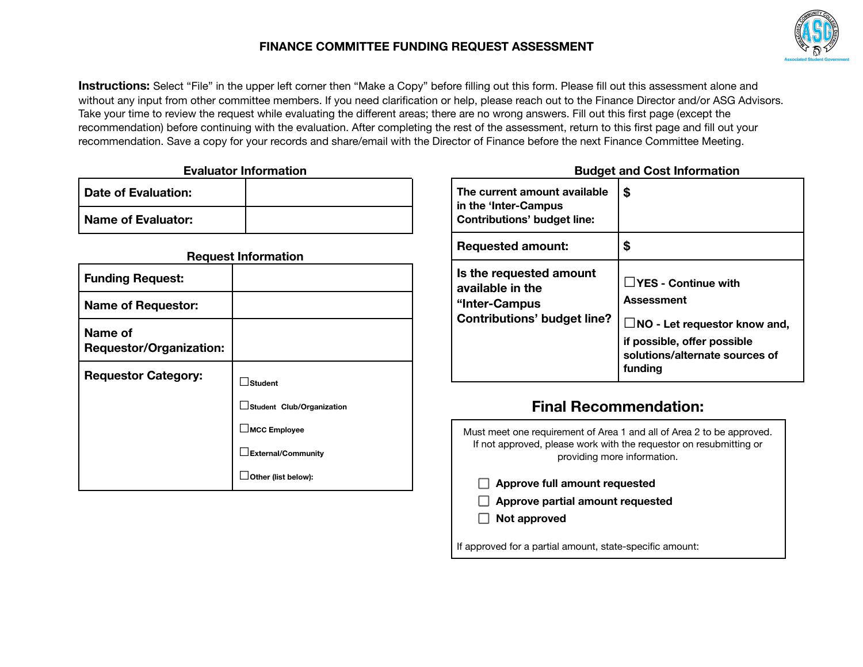

**Instructions:** Select "File" in the upper left corner then "Make a Copy" before filling out this form. Please fill out this assessment alone and without any input from other committee members. If you need clarification or help, please reach out to the Finance Director and/or ASG Advisors. Take your time to review the request while evaluating the different areas; there are no wrong answers. Fill out this first page (except the recommendation) before continuing with the evaluation. After completing the rest of the assessment, return to this first page and fill out your recommendation. Save a copy for your records and share/email with the Director of Finance before the next Finance Committee Meeting.

| <b>Evaluator Information</b> |  |
|------------------------------|--|
| <b>Date of Evaluation:</b>   |  |
| <b>Name of Evaluator:</b>    |  |

|                                           | <b>Request Information</b> |
|-------------------------------------------|----------------------------|
| <b>Funding Request:</b>                   |                            |
| <b>Name of Requestor:</b>                 |                            |
| Name of<br><b>Requestor/Organization:</b> |                            |
| <b>Requestor Category:</b>                | ∫Student                   |
|                                           | Student Club/Organization  |
|                                           |                            |
|                                           | External/Community         |
|                                           |                            |

#### **Budget and Cost Information**

| The current amount available<br>in the 'Inter-Campus<br><b>Contributions' budget line:</b>         | \$                                                                                                                                                                 |
|----------------------------------------------------------------------------------------------------|--------------------------------------------------------------------------------------------------------------------------------------------------------------------|
| <b>Requested amount:</b>                                                                           | \$                                                                                                                                                                 |
| Is the requested amount<br>available in the<br>"Inter-Campus<br><b>Contributions' budget line?</b> | $\Box$ YES - Continue with<br><b>Assessment</b><br>$\Box$ NO - Let requestor know and,<br>if possible, offer possible<br>solutions/alternate sources of<br>fundina |

# **Final Recommendation:**

Must meet one requirement of Area 1 and all of Area 2 to be approved. If not approved, please work with the requestor on resubmitting or providing more information.

- **Approve full amount requested**
- **Approve partial amount requested**
- **Not approved**

If approved for a partial amount, state-specific amount: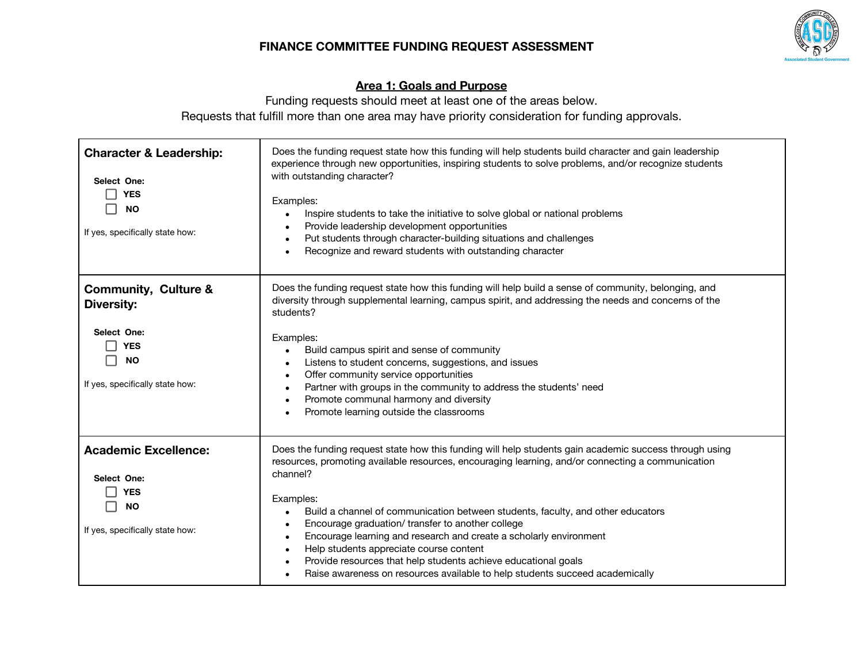

# **Area 1: Goals and Purpose**

Funding requests should meet at least one of the areas below. Requests that fulfill more than one area may have priority consideration for funding approvals.

| <b>Character &amp; Leadership:</b><br>Select One:<br><b>YES</b><br><b>NO</b><br>If yes, specifically state how:                   | Does the funding request state how this funding will help students build character and gain leadership<br>experience through new opportunities, inspiring students to solve problems, and/or recognize students<br>with outstanding character?<br>Examples:<br>Inspire students to take the initiative to solve global or national problems<br>Provide leadership development opportunities<br>Put students through character-building situations and challenges<br>Recognize and reward students with outstanding character                                                                                                                    |
|-----------------------------------------------------------------------------------------------------------------------------------|-------------------------------------------------------------------------------------------------------------------------------------------------------------------------------------------------------------------------------------------------------------------------------------------------------------------------------------------------------------------------------------------------------------------------------------------------------------------------------------------------------------------------------------------------------------------------------------------------------------------------------------------------|
| <b>Community, Culture &amp;</b><br><b>Diversity:</b><br>Select One:<br><b>YES</b><br><b>NO</b><br>If yes, specifically state how: | Does the funding request state how this funding will help build a sense of community, belonging, and<br>diversity through supplemental learning, campus spirit, and addressing the needs and concerns of the<br>students?<br>Examples:<br>Build campus spirit and sense of community<br>$\bullet$<br>Listens to student concerns, suggestions, and issues<br>Offer community service opportunities<br>Partner with groups in the community to address the students' need<br>Promote communal harmony and diversity<br>Promote learning outside the classrooms                                                                                   |
| <b>Academic Excellence:</b><br>Select One:<br><b>YES</b><br><b>NO</b><br>If yes, specifically state how:                          | Does the funding request state how this funding will help students gain academic success through using<br>resources, promoting available resources, encouraging learning, and/or connecting a communication<br>channel?<br>Examples:<br>Build a channel of communication between students, faculty, and other educators<br>Encourage graduation/ transfer to another college<br>Encourage learning and research and create a scholarly environment<br>Help students appreciate course content<br>Provide resources that help students achieve educational goals<br>Raise awareness on resources available to help students succeed academically |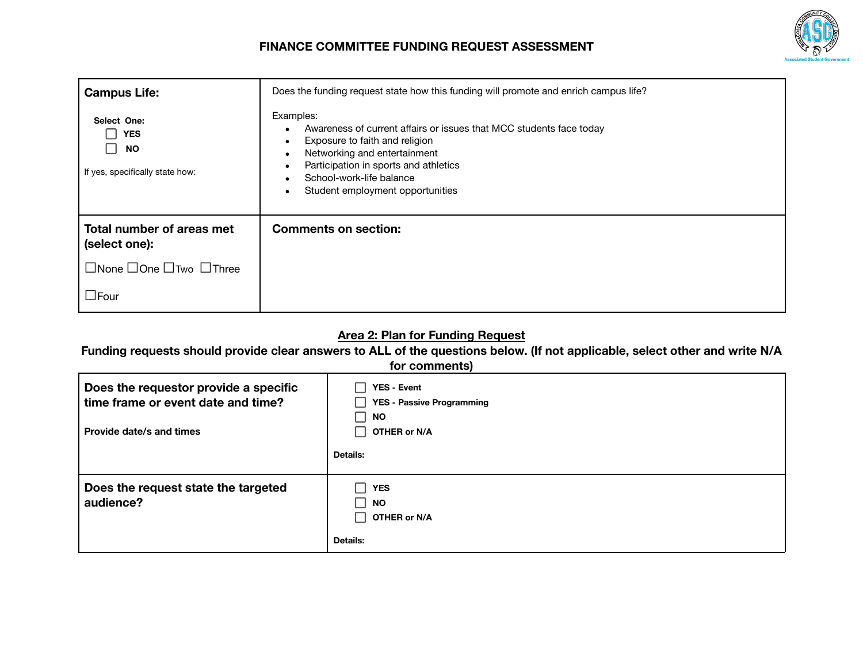

| <b>Campus Life:</b>                                                       | Does the funding request state how this funding will promote and enrich campus life?                                                                                                                                                                        |
|---------------------------------------------------------------------------|-------------------------------------------------------------------------------------------------------------------------------------------------------------------------------------------------------------------------------------------------------------|
| Select One:<br><b>YES</b><br><b>NO</b><br>If yes, specifically state how: | Examples:<br>Awareness of current affairs or issues that MCC students face today<br>Exposure to faith and religion<br>Networking and entertainment<br>Participation in sports and athletics<br>School-work-life balance<br>Student employment opportunities |
| Total number of areas met<br>(select one):                                | <b>Comments on section:</b>                                                                                                                                                                                                                                 |
| $\Box$ None $\Box$ One $\Box$ Two $\Box$ Three                            |                                                                                                                                                                                                                                                             |
| $\Box$ Four                                                               |                                                                                                                                                                                                                                                             |

## **Area 2: Plan for Funding Request**

Funding requests should provide clear answers to ALL of the questions below. (If not applicable, select other and write N/A

#### **for comments)**

| Does the requestor provide a specific<br>time frame or event date and time?<br>Provide date/s and times | <b>YES - Event</b><br><b>YES - Passive Programming</b><br><b>NO</b><br>OTHER or N/A |
|---------------------------------------------------------------------------------------------------------|-------------------------------------------------------------------------------------|
|                                                                                                         | <b>Details:</b>                                                                     |
| Does the request state the targeted<br>audience?                                                        | <b>YES</b><br><b>NO</b><br>OTHER or N/A<br><b>Details:</b>                          |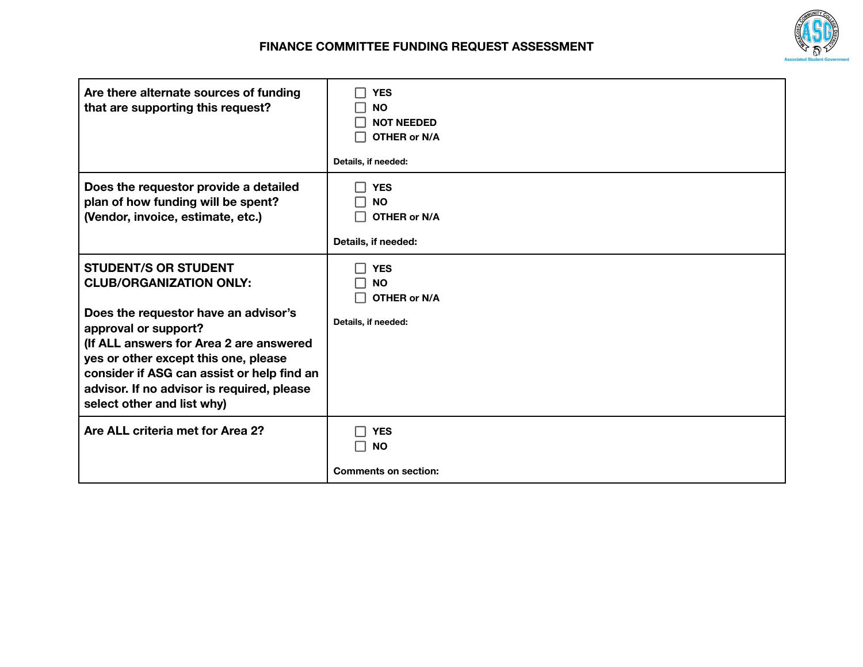| Are there alternate sources of funding<br>that are supporting this request?                                                                                                                                                                                                                                                                | <b>YES</b><br><b>NO</b><br><b>NOT NEEDED</b><br>OTHER or N/A<br>Details, if needed:             |
|--------------------------------------------------------------------------------------------------------------------------------------------------------------------------------------------------------------------------------------------------------------------------------------------------------------------------------------------|-------------------------------------------------------------------------------------------------|
| Does the requestor provide a detailed<br>plan of how funding will be spent?<br>(Vendor, invoice, estimate, etc.)                                                                                                                                                                                                                           | <b>YES</b><br>$\overline{\phantom{0}}$<br><b>NO</b><br>H<br>OTHER or N/A<br>Details, if needed: |
| <b>STUDENT/S OR STUDENT</b><br><b>CLUB/ORGANIZATION ONLY:</b><br>Does the requestor have an advisor's<br>approval or support?<br>(If ALL answers for Area 2 are answered<br>yes or other except this one, please<br>consider if ASG can assist or help find an<br>advisor. If no advisor is required, please<br>select other and list why) | <b>YES</b><br><b>NO</b><br>OTHER or N/A<br>Details, if needed:                                  |
| Are ALL criteria met for Area 2?                                                                                                                                                                                                                                                                                                           | <b>YES</b><br><b>NO</b><br>- 1<br><b>Comments on section:</b>                                   |